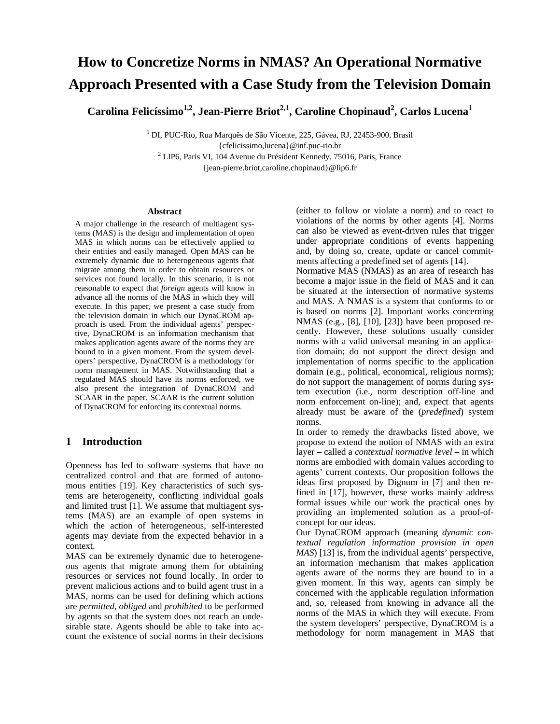# **How to Concretize Norms in NMAS? An Operational Normative Approach Presented with a Case Study from the Television Domain**

 $\rm {Carolina~Felicíssimo}^{1,2},\rm {Jean-Pierre~Briot}^{2,1},\rm {Caroline~Chopinaud}^2,\rm {Carlos~Lucena}^1$ 

<sup>1</sup> DI, PUC-Rio, Rua Marquês de São Vicente, 225, Gávea, RJ, 22453-900, Brasil

{cfelicissimo,lucena}@inf.puc-rio.br 2 LIP6, Paris VI, 104 Avenue du Président Kennedy, 75016, Paris, France {jean-pierre.briot,caroline.chopinaud}@lip6.fr

#### **Abstract**

A major challenge in the research of multiagent systems (MAS) is the design and implementation of open MAS in which norms can be effectively applied to their entities and easily managed. Open MAS can be extremely dynamic due to heterogeneous agents that migrate among them in order to obtain resources or services not found locally. In this scenario, it is not reasonable to expect that *foreign* agents will know in advance all the norms of the MAS in which they will execute. In this paper, we present a case study from the television domain in which our DynaCROM approach is used. From the individual agents' perspective, DynaCROM is an information mechanism that makes application agents aware of the norms they are bound to in a given moment. From the system developers' perspective, DynaCROM is a methodology for norm management in MAS. Notwithstanding that a regulated MAS should have its norms enforced, we also present the integration of DynaCROM and SCAAR in the paper. SCAAR is the current solution of DynaCROM for enforcing its contextual norms.

## **1 Introduction**

Openness has led to software systems that have no centralized control and that are formed of autonomous entities [19]. Key characteristics of such systems are heterogeneity, conflicting individual goals and limited trust [1]. We assume that multiagent systems (MAS) are an example of open systems in which the action of heterogeneous, self-interested agents may deviate from the expected behavior in a context.

MAS can be extremely dynamic due to heterogeneous agents that migrate among them for obtaining resources or services not found locally. In order to prevent malicious actions and to build agent trust in a MAS, norms can be used for defining which actions are *permitted*, *obliged* and *prohibited* to be performed by agents so that the system does not reach an undesirable state. Agents should be able to take into account the existence of social norms in their decisions

(either to follow or violate a norm) and to react to violations of the norms by other agents [4]. Norms can also be viewed as event-driven rules that trigger under appropriate conditions of events happening and, by doing so, create, update or cancel commitments affecting a predefined set of agents [14].

Normative MAS (NMAS) as an area of research has become a major issue in the field of MAS and it can be situated at the intersection of normative systems and MAS. A NMAS is a system that conforms to or is based on norms [2]. Important works concerning NMAS (e.g., [8], [10], [23]) have been proposed recently. However, these solutions usually consider norms with a valid universal meaning in an application domain; do not support the direct design and implementation of norms specific to the application domain (e.g., political, economical, religious norms); do not support the management of norms during system execution (i.e., norm description off-line and norm enforcement on-line); and, expect that agents already must be aware of the (*predefined*) system norms.

In order to remedy the drawbacks listed above, we propose to extend the notion of NMAS with an extra layer – called a *contextual normative level* – in which norms are embodied with domain values according to agents' current contexts. Our proposition follows the ideas first proposed by Dignum in [7] and then refined in [17], however, these works mainly address formal issues while our work the practical ones by providing an implemented solution as a proof-ofconcept for our ideas.

Our DynaCROM approach (meaning *dynamic contextual regulation information provision in open MAS*) [13] is, from the individual agents' perspective, an information mechanism that makes application agents aware of the norms they are bound to in a given moment. In this way, agents can simply be concerned with the applicable regulation information and, so, released from knowing in advance all the norms of the MAS in which they will execute. From the system developers' perspective, DynaCROM is a methodology for norm management in MAS that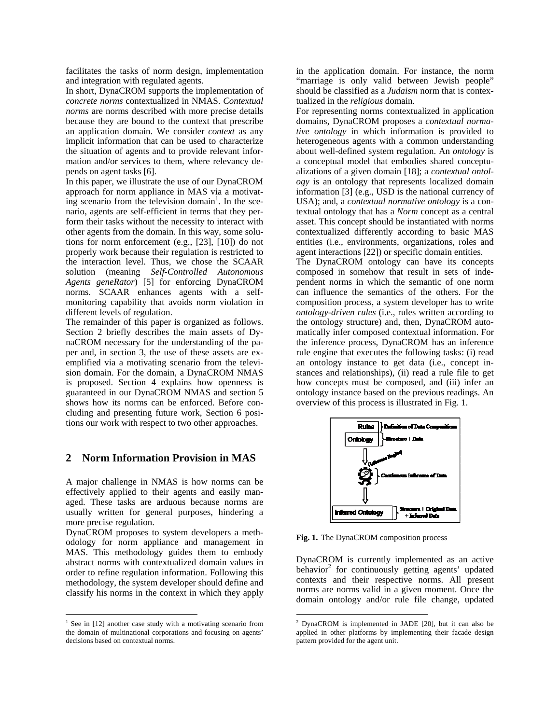facilitates the tasks of norm design, implementation and integration with regulated agents.

In short, DynaCROM supports the implementation of *concrete norms* contextualized in NMAS. *Contextual norms* are norms described with more precise details because they are bound to the context that prescribe an application domain. We consider *context* as any implicit information that can be used to characterize the situation of agents and to provide relevant information and/or services to them, where relevancy depends on agent tasks [6].

In this paper, we illustrate the use of our DynaCROM approach for norm appliance in MAS via a motivat- $\prod_{n=1}^{n}$  scenario from the television domain<sup>1</sup>. In the scenario, agents are self-efficient in terms that they perform their tasks without the necessity to interact with other agents from the domain. In this way, some solutions for norm enforcement (e.g., [23], [10]) do not properly work because their regulation is restricted to the interaction level. Thus, we chose the SCAAR solution (meaning *Self-Controlled Autonomous Agents geneRator*) [5] for enforcing DynaCROM norms. SCAAR enhances agents with a selfmonitoring capability that avoids norm violation in different levels of regulation.

The remainder of this paper is organized as follows. Section 2 briefly describes the main assets of DynaCROM necessary for the understanding of the paper and, in section 3, the use of these assets are exemplified via a motivating scenario from the television domain. For the domain, a DynaCROM NMAS is proposed. Section 4 explains how openness is guaranteed in our DynaCROM NMAS and section 5 shows how its norms can be enforced. Before concluding and presenting future work, Section 6 positions our work with respect to two other approaches.

#### **2 Norm Information Provision in MAS**

A major challenge in NMAS is how norms can be effectively applied to their agents and easily managed. These tasks are arduous because norms are usually written for general purposes, hindering a more precise regulation.

DynaCROM proposes to system developers a methodology for norm appliance and management in MAS. This methodology guides them to embody abstract norms with contextualized domain values in order to refine regulation information. Following this methodology, the system developer should define and classify his norms in the context in which they apply

 $\overline{a}$ 

in the application domain. For instance, the norm "marriage is only valid between Jewish people" should be classified as a *Judaism* norm that is contextualized in the *religious* domain.

For representing norms contextualized in application domains, DynaCROM proposes a *contextual normative ontology* in which information is provided to heterogeneous agents with a common understanding about well-defined system regulation. An *ontology* is a conceptual model that embodies shared conceptualizations of a given domain [18]; a *contextual ontology* is an ontology that represents localized domain information [3] (e.g., USD is the national currency of USA); and, a *contextual normative ontology* is a contextual ontology that has a *Norm* concept as a central asset. This concept should be instantiated with norms contextualized differently according to basic MAS entities (i.e., environments, organizations, roles and agent interactions [22]) or specific domain entities.

The DynaCROM ontology can have its concepts composed in somehow that result in sets of independent norms in which the semantic of one norm can influence the semantics of the others. For the composition process, a system developer has to write *ontology-driven rules* (i.e., rules written according to the ontology structure) and, then, DynaCROM automatically infer composed contextual information. For the inference process, DynaCROM has an inference rule engine that executes the following tasks: (i) read an ontology instance to get data (i.e., concept instances and relationships), (ii) read a rule file to get how concepts must be composed, and (iii) infer an ontology instance based on the previous readings. An overview of this process is illustrated in Fig. 1.



**Fig. 1.** The DynaCROM composition process

 $\overline{a}$ 

DynaCROM is currently implemented as an active behavior<sup>2</sup> for continuously getting agents' updated contexts and their respective norms. All present norms are norms valid in a given moment. Once the domain ontology and/or rule file change, updated

<sup>&</sup>lt;sup>1</sup> See in [12] another case study with a motivating scenario from the domain of multinational corporations and focusing on agents' decisions based on contextual norms.

DynaCROM is implemented in JADE [20], but it can also be applied in other platforms by implementing their facade design pattern provided for the agent unit.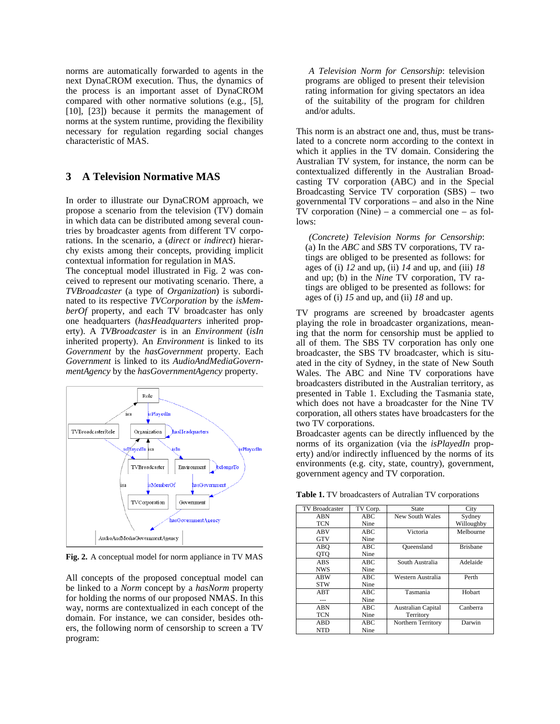norms are automatically forwarded to agents in the next DynaCROM execution. Thus, the dynamics of the process is an important asset of DynaCROM compared with other normative solutions (e.g., [5], [10], [23]) because it permits the management of norms at the system runtime, providing the flexibility necessary for regulation regarding social changes characteristic of MAS.

#### **3 A Television Normative MAS**

In order to illustrate our DynaCROM approach, we propose a scenario from the television (TV) domain in which data can be distributed among several countries by broadcaster agents from different TV corporations. In the scenario, a (*direct* or *indirect*) hierarchy exists among their concepts, providing implicit contextual information for regulation in MAS.

The conceptual model illustrated in Fig. 2 was conceived to represent our motivating scenario. There, a *TVBroadcaster* (a type of *Organization*) is subordinated to its respective *TVCorporation* by the *isMemberOf* property, and each TV broadcaster has only one headquarters (*hasHeadquarters* inherited property). A *TVBroadcaster* is in an *Environment* (*isIn* inherited property). An *Environment* is linked to its *Government* by the *hasGovernment* property. Each *Government* is linked to its *AudioAndMediaGovernmentAgency* by the *hasGovernmentAgency* property.



**Fig. 2.** A conceptual model for norm appliance in TV MAS

All concepts of the proposed conceptual model can be linked to a *Norm* concept by a *hasNorm* property for holding the norms of our proposed NMAS. In this way, norms are contextualized in each concept of the domain. For instance, we can consider, besides others, the following norm of censorship to screen a TV program:

 *A Television Norm for Censorship*: television programs are obliged to present their television rating information for giving spectators an idea of the suitability of the program for children and/or adults.

This norm is an abstract one and, thus, must be translated to a concrete norm according to the context in which it applies in the TV domain. Considering the Australian TV system, for instance, the norm can be contextualized differently in the Australian Broadcasting TV corporation (ABC) and in the Special Broadcasting Service TV corporation (SBS) – two governmental TV corporations – and also in the Nine TV corporation (Nine) – a commercial one – as follows:

 *(Concrete) Television Norms for Censorship*: (a) In the *ABC* and *SBS* TV corporations, TV ratings are obliged to be presented as follows: for ages of (i) *12* and up, (ii) *14* and up, and (iii) *18* and up; (b) in the *Nine* TV corporation, TV ratings are obliged to be presented as follows: for ages of (i) *15* and up, and (ii) *18* and up.

TV programs are screened by broadcaster agents playing the role in broadcaster organizations, meaning that the norm for censorship must be applied to all of them. The SBS TV corporation has only one broadcaster, the SBS TV broadcaster, which is situated in the city of Sydney, in the state of New South Wales. The ABC and Nine TV corporations have broadcasters distributed in the Australian territory, as presented in Table 1. Excluding the Tasmania state, which does not have a broadcaster for the Nine TV corporation, all others states have broadcasters for the two TV corporations.

Broadcaster agents can be directly influenced by the norms of its organization (via the *isPlayedIn* property) and/or indirectly influenced by the norms of its environments (e.g. city, state, country), government, government agency and TV corporation.

| <b>TV Broadcaster</b> | TV Corp. | State              | City            |
|-----------------------|----------|--------------------|-----------------|
| <b>ABN</b>            | ABC      | New South Wales    | Sydney          |
| <b>TCN</b>            | Nine     |                    | Willoughby      |
| ABV                   | ABC      | Victoria           | Melbourne       |
| <b>GTV</b>            | Nine     |                    |                 |
| ABO                   | ABC      | Queensland         | <b>Brishane</b> |
| <b>OTO</b>            | Nine     |                    |                 |
| <b>ABS</b>            | ABC      | South Australia    | Adelaide        |
| <b>NWS</b>            | Nine     |                    |                 |
| <b>ABW</b>            | ABC      | Western Australia  | Perth           |
| <b>STW</b>            | Nine     |                    |                 |
| ABT                   | ABC      | Tasmania           | Hobart          |
| ---                   | Nine     |                    |                 |
| ABN                   | ABC      | Australian Capital | Canberra        |
| <b>TCN</b>            | Nine     | Territory          |                 |
| <b>ABD</b>            | ABC      | Northern Territory | Darwin          |
| <b>NTD</b>            | Nine     |                    |                 |

**Table 1.** TV broadcasters of Autralian TV corporations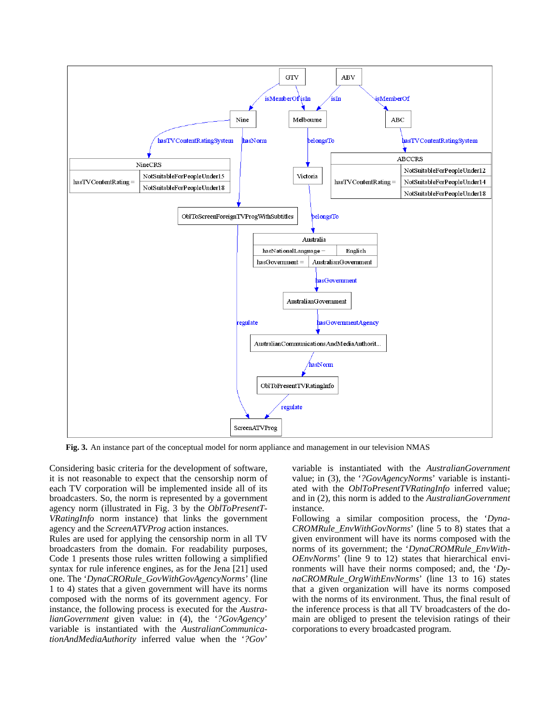

**Fig. 3.** An instance part of the conceptual model for norm appliance and management in our television NMAS

Considering basic criteria for the development of software, it is not reasonable to expect that the censorship norm of each TV corporation will be implemented inside all of its broadcasters. So, the norm is represented by a government agency norm (illustrated in Fig. 3 by the *OblToPresentT-VRatingInfo* norm instance) that links the government agency and the *ScreenATVProg* action instances.

Rules are used for applying the censorship norm in all TV broadcasters from the domain. For readability purposes, Code 1 presents those rules written following a simplified syntax for rule inference engines, as for the Jena [21] used one. The '*DynaCRORule\_GovWithGovAgencyNorms*' (line 1 to 4) states that a given government will have its norms composed with the norms of its government agency. For instance, the following process is executed for the *AustralianGovernment* given value: in (4), the '*?GovAgency*' variable is instantiated with the *AustralianCommunicationAndMediaAuthority* inferred value when the '*?Gov*'

variable is instantiated with the *AustralianGovernment* value; in (3), the '*?GovAgencyNorms*' variable is instantiated with the *OblToPresentTVRatingInfo* inferred value; and in (2), this norm is added to the *AustralianGovernment* instance.

Following a similar composition process, the '*Dyna-CROMRule\_EnvWithGovNorms*' (line 5 to 8) states that a given environment will have its norms composed with the norms of its government; the '*DynaCROMRule\_EnvWith-OEnvNorms*' (line 9 to 12) states that hierarchical environments will have their norms composed; and, the '*DynaCROMRule\_OrgWithEnvNorms*' (line 13 to 16) states that a given organization will have its norms composed with the norms of its environment. Thus, the final result of the inference process is that all TV broadcasters of the domain are obliged to present the television ratings of their corporations to every broadcasted program.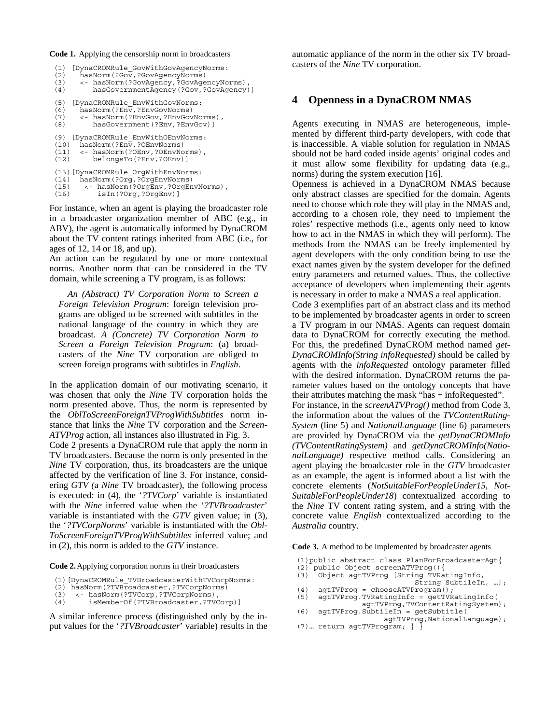**Code 1.** Applying the censorship norm in broadcasters

```
(1) [DynaCROMRule_GovWithGovAgencyNorms:<br>(2) hasNorm(?Gov,?GovAgencyNorms)
        (2) hasNorm(?Gov,?GovAgencyNorms) 
(3) <- hasNorm(?GovAgency,?GovAgencyNorms), 
(4) hasGovernmentAgency(?Gov,?GovAgency)] 
(5) [DynaCROMRule_EnvWithGovNorms:<br>(6) hasNorm(?Env,?EnvGovNorms)
        hasNorm(?Env,?EnvGovNorms)
(7) <- hasNorm(?EnvGov,?EnvGovNorms),<br>(8) hasGovernment(?Env,?EnvGov)]
             hasGovernment(?Env,?EnvGov)]
(9) [DynaCROMRule_EnvWithOEnvNorms:<br>(10) hasNorm(?Env.?OEnvNorms)
(10) hasNorm(?En\overline{v},?OEnvNorms)<br>(11) <- hasNorm(?OEnv,?OEnvNo
(11) <- hasNorm(?OEnv,?OEnvNorms),<br>(12) belongsTo(?Env,?OEnv)]
             (12) belongsTo(?Env,?OEnv)] 
(13) [DynaCROMRule OrgWithEnvNorms:
(14) hasNorm(?Org,?OrgEnvNorms) 
(15) <- hasNorm(?OrgEnv,?OrgEnvNorms), 
(16) isIn(?Org,?OrgEnv)]
```
For instance, when an agent is playing the broadcaster role in a broadcaster organization member of ABC (e.g., in ABV), the agent is automatically informed by DynaCROM about the TV content ratings inherited from ABC (i.e., for ages of 12, 14 or 18, and up).

An action can be regulated by one or more contextual norms. Another norm that can be considered in the TV domain, while screening a TV program, is as follows:

*An (Abstract) TV Corporation Norm to Screen a Foreign Television Program*: foreign television programs are obliged to be screened with subtitles in the national language of the country in which they are broadcast. *A (Concrete) TV Corporation Norm to Screen a Foreign Television Program*: (a) broadcasters of the *Nine* TV corporation are obliged to screen foreign programs with subtitles in *English*.

In the application domain of our motivating scenario, it was chosen that only the *Nine* TV corporation holds the norm presented above. Thus, the norm is represented by the *OblToScreenForeignTVProgWithSubtitles* norm instance that links the *Nine* TV corporation and the *Screen-ATVProg* action, all instances also illustrated in Fig. 3. Code 2 presents a DynaCROM rule that apply the norm in TV broadcasters. Because the norm is only presented in the *Nine* TV corporation, thus, its broadcasters are the unique affected by the verification of line 3. For instance, considering *GTV (*a *Nine* TV broadcaster), the following process is executed: in (4), the '*?TVCorp*' variable is instantiated with the *Nine* inferred value when the '*?TVBroadcaster*' variable is instantiated with the *GTV* given value; in (3), the '*?TVCorpNorms*' variable is instantiated with the *Obl-ToScreenForeignTVProgWithSubtitles* inferred value; and in (2), this norm is added to the *GTV* instance.

**Code 2.**Applying corporation norms in their broadcasters

- (1)[DynaCROMRule\_TVBroadcasterWithTVCorpNorms:
- (2) hasNorm(?TVBroadcaster,?TVCorpNorms)
- (3) <- hasNorm(?TVCorp,?TVCorpNorms),
- (4) isMemberOf(?TVBroadcaster,?TVCorp)]

A similar inference process (distinguished only by the input values for the '*?TVBroadcaster*' variable) results in the automatic appliance of the norm in the other six TV broadcasters of the *Nine* TV corporation.

## **4 Openness in a DynaCROM NMAS**

Agents executing in NMAS are heterogeneous, implemented by different third-party developers, with code that is inaccessible. A viable solution for regulation in NMAS should not be hard coded inside agents' original codes and it must allow some flexibility for updating data (e.g., norms) during the system execution [16].

Openness is achieved in a DynaCROM NMAS because only abstract classes are specified for the domain. Agents need to choose which role they will play in the NMAS and, according to a chosen role, they need to implement the roles' respective methods (i.e., agents only need to know how to act in the NMAS in which they will perform). The methods from the NMAS can be freely implemented by agent developers with the only condition being to use the exact names given by the system developer for the defined entry parameters and returned values. Thus, the collective acceptance of developers when implementing their agents is necessary in order to make a NMAS a real application.

Code 3 exemplifies part of an abstract class and its method to be implemented by broadcaster agents in order to screen a TV program in our NMAS. Agents can request domain data to DynaCROM for correctly executing the method. For this, the predefined DynaCROM method named *get-DynaCROMInfo(String infoRequested)* should be called by agents with the *infoRequested* ontology parameter filled with the desired information. DynaCROM returns the parameter values based on the ontology concepts that have their attributes matching the mask "has + infoRequested". For instance, in the *screenATVProg()* method from Code 3, the information about the values of the *TVContentRating-System* (line 5) and *NationalLanguage* (line 6) parameters are provided by DynaCROM via the *getDynaCROMInfo (TVContentRatingSystem)* and *getDynaCROMInfo(NationalLanguage)* respective method calls. Considering an agent playing the broadcaster role in the *GTV* broadcaster as an example, the agent is informed about a list with the concrete elements (*NotSuitableForPeopleUnder15*, *Not-SuitableForPeopleUnder18*) contextualized according to the *Nine* TV content rating system, and a string with the concrete value *English* contextualized according to the *Australia* country.

**Code 3.** A method to be implemented by broadcaster agents

- (1)public abstract class PlanForBroadcasterAgt{
- (2) public Object screenATVProg(){ (3) Object agtTVProg [String TVRatingInfo,
- String SubtileIn, …];
- (4) agtTVProg = chooseATVProgram();
- (5) agtTVProg.TVRatingInfo = getTVRatingInfo(
- $\text{agtTVProg, TVContentRatingSystem};$ <br>(6) agtTVProg SubtileIn = getSubtitle(  $agtTVProg.SubtileIn = getSubtile($
- agtTVProg,NationalLanguage); (7)… return agtTVProgram; } }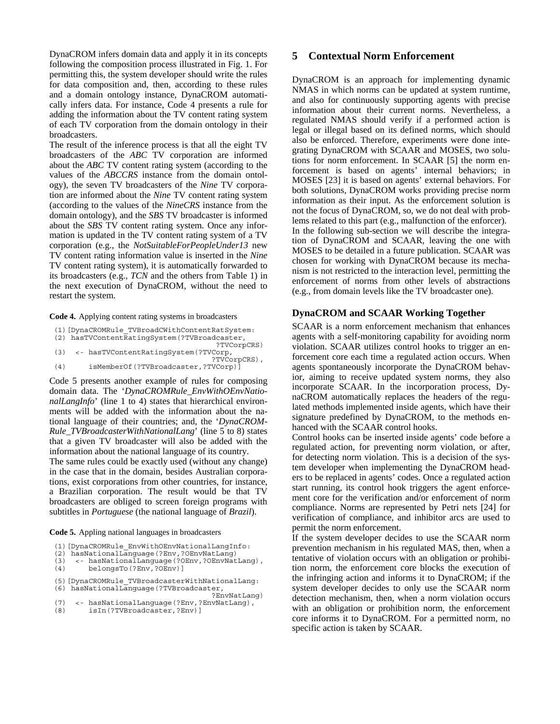DynaCROM infers domain data and apply it in its concepts following the composition process illustrated in Fig. 1. For permitting this, the system developer should write the rules for data composition and, then, according to these rules and a domain ontology instance, DynaCROM automatically infers data. For instance, Code 4 presents a rule for adding the information about the TV content rating system of each TV corporation from the domain ontology in their broadcasters.

The result of the inference process is that all the eight TV broadcasters of the *ABC* TV corporation are informed about the *ABC* TV content rating system (according to the values of the *ABCCRS* instance from the domain ontology), the seven TV broadcasters of the *Nine* TV corporation are informed about the *Nine* TV content rating system (according to the values of the *NineCRS* instance from the domain ontology), and the *SBS* TV broadcaster is informed about the *SBS* TV content rating system. Once any information is updated in the TV content rating system of a TV corporation (e.g., the *NotSuitableForPeopleUnder13* new TV content rating information value is inserted in the *Nine*  TV content rating system), it is automatically forwarded to its broadcasters (e.g., *TCN* and the others from Table 1) in the next execution of DynaCROM, without the need to restart the system.

**Code 4.** Applying content rating systems in broadcasters

|     | (1) [DynaCROMRule TVBroadCWithContentRatSystem:<br>(2) hasTVContentRatingSystem(?TVBroadcaster, |
|-----|-------------------------------------------------------------------------------------------------|
|     | ?TVCorpCRS)                                                                                     |
| (3) | <- hasTVContentRatingSystem(?TVCorp,<br>?TVCorpCRS),                                            |
| (4) | isMemberOf(?TVBroadcaster,?TVCorp)]                                                             |

Code 5 presents another example of rules for composing domain data. The '*DynaCROMRule\_EnvWithOEnvNationalLangInfo*' (line 1 to 4) states that hierarchical environments will be added with the information about the national language of their countries; and, the '*DynaCROM-Rule\_TVBroadcasterWithNationalLang*' (line 5 to 8) states that a given TV broadcaster will also be added with the information about the national language of its country.

The same rules could be exactly used (without any change) in the case that in the domain, besides Australian corporations, exist corporations from other countries, for instance, a Brazilian corporation. The result would be that TV broadcasters are obliged to screen foreign programs with subtitles in *Portuguese* (the national language of *Brazil*).

**Code 5.** Appling national languages in broadcasters

```
(1)[DynaCROMRule_EnvWithOEnvNationalLangInfo:
```

```
(2) hasNationalLanguage(?Env,?OEnvNatLang) 
(3) <- hasNationalLanguage(?OEnv,?OEnvNatLang),
```

```
(4) belongsTo(?Env,?OEnv)]
```
(5)[DynaCROMRule\_TVBroadcasterWithNationalLang: (6) hasNationalLanguage(?TVBroadcaster,

```
PEnvNatLang)?"<br>(7) <- hasNationalLanguage(?Env.?EnvNatLang),
(7) <- hasNationalLanguage(?Env,?EnvNatLang),<br>(8) isIn(?TVBroadcaster,?Env)]
```

```
(8) isIn(?TVBroadcaster,?Env)]
```
# **5 Contextual Norm Enforcement**

DynaCROM is an approach for implementing dynamic NMAS in which norms can be updated at system runtime, and also for continuously supporting agents with precise information about their current norms. Nevertheless, a regulated NMAS should verify if a performed action is legal or illegal based on its defined norms, which should also be enforced. Therefore, experiments were done integrating DynaCROM with SCAAR and MOSES, two solutions for norm enforcement. In SCAAR [5] the norm enforcement is based on agents' internal behaviors; in MOSES [23] it is based on agents' external behaviors. For both solutions, DynaCROM works providing precise norm information as their input. As the enforcement solution is not the focus of DynaCROM, so, we do not deal with problems related to this part (e.g., malfunction of the enforcer). In the following sub-section we will describe the integration of DynaCROM and SCAAR, leaving the one with MOSES to be detailed in a future publication. SCAAR was chosen for working with DynaCROM because its mechanism is not restricted to the interaction level, permitting the enforcement of norms from other levels of abstractions (e.g., from domain levels like the TV broadcaster one).

# **DynaCROM and SCAAR Working Together**

SCAAR is a norm enforcement mechanism that enhances agents with a self-monitoring capability for avoiding norm violation. SCAAR utilizes control hooks to trigger an enforcement core each time a regulated action occurs. When agents spontaneously incorporate the DynaCROM behavior, aiming to receive updated system norms, they also incorporate SCAAR. In the incorporation process, DynaCROM automatically replaces the headers of the regulated methods implemented inside agents, which have their signature predefined by DynaCROM, to the methods enhanced with the SCAAR control hooks.

Control hooks can be inserted inside agents' code before a regulated action, for preventing norm violation, or after, for detecting norm violation. This is a decision of the system developer when implementing the DynaCROM headers to be replaced in agents' codes. Once a regulated action start running, its control hook triggers the agent enforcement core for the verification and/or enforcement of norm compliance. Norms are represented by Petri nets [24] for verification of compliance, and inhibitor arcs are used to permit the norm enforcement.

If the system developer decides to use the SCAAR norm prevention mechanism in his regulated MAS, then, when a tentative of violation occurs with an obligation or prohibition norm, the enforcement core blocks the execution of the infringing action and informs it to DynaCROM; if the system developer decides to only use the SCAAR norm detection mechanism, then, when a norm violation occurs with an obligation or prohibition norm, the enforcement core informs it to DynaCROM. For a permitted norm, no specific action is taken by SCAAR.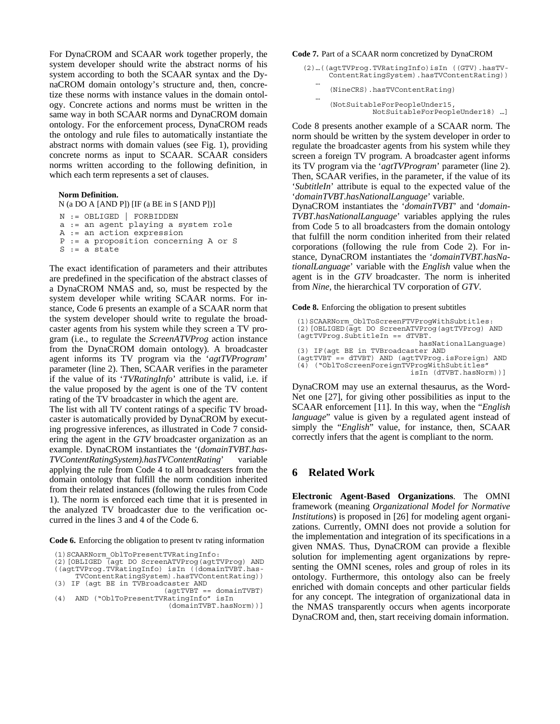For DynaCROM and SCAAR work together properly, the system developer should write the abstract norms of his system according to both the SCAAR syntax and the DynaCROM domain ontology's structure and, then, concretize these norms with instance values in the domain ontology. Concrete actions and norms must be written in the same way in both SCAAR norms and DynaCROM domain ontology. For the enforcement process, DynaCROM reads the ontology and rule files to automatically instantiate the abstract norms with domain values (see Fig. 1), providing concrete norms as input to SCAAR. SCAAR considers norms written according to the following definition, in which each term represents a set of clauses.

#### **Norm Definition.**

```
N (a DO A [AND P]) [IF (a BE in S [AND P])] 
N := OBLIGED | FORBIDDEN 
a := an agent playing a system role 
A := an action expression 
P := a proposition concerning A or S 
S := a state
```
The exact identification of parameters and their attributes are predefined in the specification of the abstract classes of a DynaCROM NMAS and, so, must be respected by the system developer while writing SCAAR norms. For instance, Code 6 presents an example of a SCAAR norm that the system developer should write to regulate the broadcaster agents from his system while they screen a TV program (i.e., to regulate the *ScreenATVProg* action instance from the DynaCROM domain ontology). A broadcaster agent informs its TV program via the '*agtTVProgram*' parameter (line 2). Then, SCAAR verifies in the parameter if the value of its '*TVRatingInfo*' attribute is valid, i.e. if the value proposed by the agent is one of the TV content rating of the TV broadcaster in which the agent are.

The list with all TV content ratings of a specific TV broadcaster is automatically provided by DynaCROM by executing progressive inferences, as illustrated in Code 7 considering the agent in the *GTV* broadcaster organization as an example. DynaCROM instantiates the '(*domainTVBT.has-TVContentRatingSystem).hasTVContentRating*' variable applying the rule from Code 4 to all broadcasters from the domain ontology that fulfill the norm condition inherited from their related instances (following the rules from Code 1). The norm is enforced each time that it is presented in the analyzed TV broadcaster due to the verification occurred in the lines 3 and 4 of the Code 6.

**Code 6.** Enforcing the obligation to present tv rating information

| (1) SCAARNorm OblToPresentTVRatingInfo:            |
|----------------------------------------------------|
| (2) [OBLIGED (agt DO ScreenATVProg (agtTVProg) AND |
| ((aqtTVProq.TVRatingInfo) isIn ((domainTVBT.has-   |
| TVContentRatingSystem).hasTVContentRating))        |
| (3) IF (agt BE in TVBroadcaster AND                |
| $(agtTVBT == domainTVBT)$                          |
| AND ("OblToPresentTVRatingInfo" isIn<br>(4)        |
| (domainTVBT.hasNorm))]                             |

#### **Code 7.** Part of a SCAAR norm concretized by DynaCROM

- (2)…((agtTVProg.TVRatingInfo)isIn ((GTV).hasTV- ContentRatingSystem).hasTVContentRating)) …
- (NineCRS).hasTVContentRating) …
	- (NotSuitableForPeopleUnder15, NotSuitableForPeopleUnder18) …]

Code 8 presents another example of a SCAAR norm. The norm should be written by the system developer in order to regulate the broadcaster agents from his system while they screen a foreign TV program. A broadcaster agent informs its TV program via the '*agtTVProgram*' parameter (line 2). Then, SCAAR verifies, in the parameter, if the value of its '*SubtitleIn*' attribute is equal to the expected value of the '*domainTVBT.hasNationalLanguage*' variable.

DynaCROM instantiates the '*domainTVBT*' and '*domain-TVBT.hasNationalLanguage*' variables applying the rules from Code 5 to all broadcasters from the domain ontology that fulfill the norm condition inherited from their related corporations (following the rule from Code 2). For instance, DynaCROM instantiates the '*domainTVBT.hasNationalLanguage*' variable with the *English* value when the agent is in the *GTV* broadcaster. The norm is inherited from *Nine*, the hierarchical TV corporation of *GTV*.

**Code 8.** Enforcing the obligation to present subtitles

(1) SCAARNorm OblToScreenFTVProqWithSubtitles: (2)[OBLIGED(agt DO ScreenATVProg(agtTVProg) AND (agtTVProg.SubtitleIn == dTVBT. hasNationalLanguage) (3) IF(agt BE in TVBroadcaster AND (agtTVBT == dTVBT) AND (agtTVProg.isForeign) AND (4) ("OblToScreenForeignTVProgWithSubtitles" isIn (dTVBT.hasNorm))]

DynaCROM may use an external thesaurus, as the Word-Net one [27], for giving other possibilities as input to the SCAAR enforcement [11]. In this way, when the "*English language*" value is given by a regulated agent instead of simply the "*English*" value, for instance, then, SCAAR correctly infers that the agent is compliant to the norm.

# **6 Related Work**

**Electronic Agent-Based Organizations**. The OMNI framework (meaning *Organizational Model for Normative Institutions*) is proposed in [26] for modeling agent organizations. Currently, OMNI does not provide a solution for the implementation and integration of its specifications in a given NMAS. Thus, DynaCROM can provide a flexible solution for implementing agent organizations by representing the OMNI scenes, roles and group of roles in its ontology. Furthermore, this ontology also can be freely enriched with domain concepts and other particular fields for any concept. The integration of organizational data in the NMAS transparently occurs when agents incorporate DynaCROM and, then, start receiving domain information.